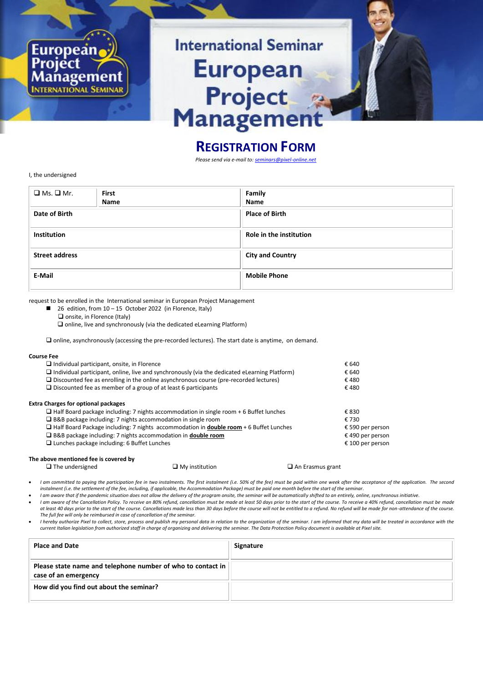

## **REGISTRATION FORM**

*Please send via e-mail to: [seminars@pixel-online.net](mailto:seminars@pixel-online.net)*

I, the undersigned

| $\Box$ Ms. $\Box$ Mr. | <b>First</b><br><b>Name</b> | Family<br>Name          |
|-----------------------|-----------------------------|-------------------------|
| Date of Birth         |                             | <b>Place of Birth</b>   |
| <b>Institution</b>    |                             | Role in the institution |
| <b>Street address</b> |                             | <b>City and Country</b> |
| E-Mail                |                             | <b>Mobile Phone</b>     |

request to be enrolled in the International seminar in European Project Management

- $\blacksquare$  26 edition, from 10 15 October 2022 (in Florence, Italy)
	- $\square$  onsite, in Florence (Italy)

 $\square$  online, live and synchronously (via the dedicated eLearning Platform)

online, asynchronously (accessing the pre-recorded lectures). The start date is anytime, on demand.

## **Course Fee**

| $\Box$ Individual participant, onsite, in Florence                                                   | € 640            |  |
|------------------------------------------------------------------------------------------------------|------------------|--|
| $\Box$ Individual participant, online, live and synchronously (via the dedicated eLearning Platform) | € 640            |  |
| $\Box$ Discounted fee as enrolling in the online asynchronous course (pre-recorded lectures)         | €480             |  |
| $\Box$ Discounted fee as member of a group of at least 6 participants                                | €480             |  |
| <b>Extra Charges for optional packages</b>                                                           |                  |  |
| $\Box$ Half Board package including: 7 nights accommodation in single room + 6 Buffet lunches        | € 830            |  |
| $\Box$ B&B package including: 7 nights accommodation in single room                                  | € 730            |  |
| $\Box$ Half Board Package including: 7 nights accommodation in <b>double room</b> + 6 Buffet Lunches | € 590 per person |  |
| $\Box$ B&B package including: 7 nights accommodation in <b>double room</b>                           | € 490 per person |  |
| $\Box$ Lunches package including: 6 Buffet Lunches                                                   | € 100 per person |  |
|                                                                                                      |                  |  |
|                                                                                                      |                  |  |

## **The above mentioned fee is covered by**<br>  $\Box$  The undersigned

I am committed to paying the participation fee in two instalments. The first instalment (i.e. 50% of the fee) must be paid within one week after the acceptance of the application. The second *instalment (i.e. the settlement of the fee, including, if applicable, the Accommodation Package) must be paid one month before the start of the seminar.*

 $\Box$  My institution  $\Box$  An Erasmus grant

I am aware that if the pandemic situation does not allow the delivery of the program onsite, the seminar will be automatically shifted to an entirely, online, synchronous initiative.

- I am aware of the Cancellation Policy. To receive an 80% refund, cancellation must be made at least 50 days prior to the start of the course. To receive a 40% refund, cancellation must be made *at least 40 days prior to the start of the course. Cancellations made less than 30 days before the course will not be entitled to a refund. No refund will be made for non-attendance of the course. The full fee will only be reimbursed in case of cancellation of the seminar.*
- Inereby authorize Pixel to collect, store, process and publish my personal data in relation to the organization of the seminar. I am informed that my data will be treated in accordance with the Interation Policy document i

| <b>Place and Date</b>                                                               | Signature |
|-------------------------------------------------------------------------------------|-----------|
| Please state name and telephone number of who to contact in<br>case of an emergency |           |
| How did you find out about the seminar?                                             |           |